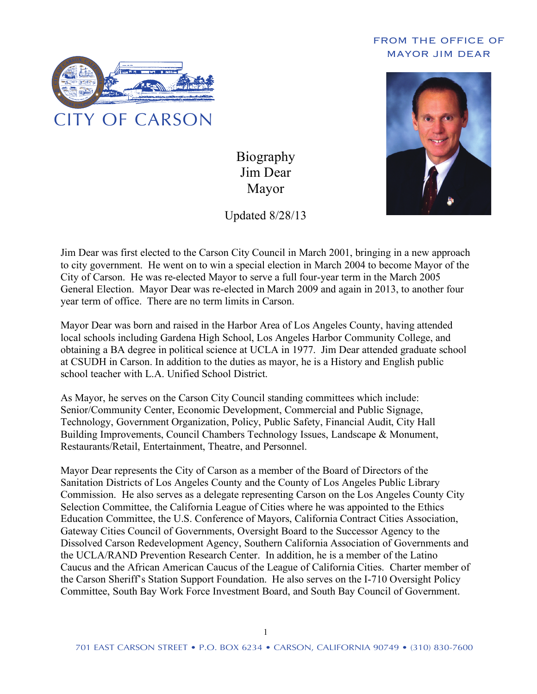## FROM THE OFFICE OF MAYOR JIM DEAR



Biography Jim Dear Mayor

Updated 8/28/13



Jim Dear was first elected to the Carson City Council in March 2001, bringing in a new approach to city government. He went on to win a special election in March 2004 to become Mayor of the City of Carson. He was re-elected Mayor to serve a full four-year term in the March 2005 General Election. Mayor Dear was re-elected in March 2009 and again in 2013, to another four year term of office. There are no term limits in Carson.

Mayor Dear was born and raised in the Harbor Area of Los Angeles County, having attended local schools including Gardena High School, Los Angeles Harbor Community College, and obtaining a BA degree in political science at UCLA in 1977. Jim Dear attended graduate school at CSUDH in Carson. In addition to the duties as mayor, he is a History and English public school teacher with L.A. Unified School District.

As Mayor, he serves on the Carson City Council standing committees which include: Senior/Community Center, Economic Development, Commercial and Public Signage, Technology, Government Organization, Policy, Public Safety, Financial Audit, City Hall Building Improvements, Council Chambers Technology Issues, Landscape & Monument, Restaurants/Retail, Entertainment, Theatre, and Personnel.

Mayor Dear represents the City of Carson as a member of the Board of Directors of the Sanitation Districts of Los Angeles County and the County of Los Angeles Public Library Commission. He also serves as a delegate representing Carson on the Los Angeles County City Selection Committee, the California League of Cities where he was appointed to the Ethics Education Committee, the U.S. Conference of Mayors, California Contract Cities Association, Gateway Cities Council of Governments, Oversight Board to the Successor Agency to the Dissolved Carson Redevelopment Agency, Southern California Association of Governments and the UCLA/RAND Prevention Research Center. In addition, he is a member of the Latino Caucus and the African American Caucus of the League of California Cities. Charter member of the Carson Sheriff's Station Support Foundation. He also serves on the I-710 Oversight Policy Committee, South Bay Work Force Investment Board, and South Bay Council of Government.